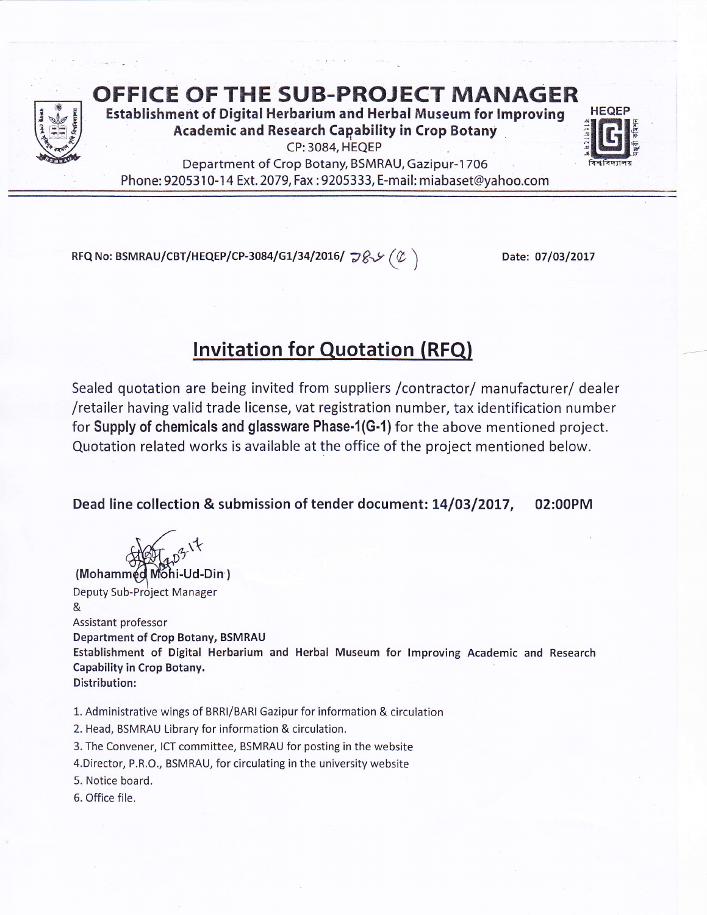

OFFICE OFTHE SUB-PROJECT MANAGER

Establishment of Digital Herbarium and Herbal Museum for lmproving Academic and Research Cagability in Crop Botany CP: 3084, HEQEP



Department of Crop Botany, BSMRAU, Gazipur-1706 Phone: 9205310-14 Ext. 2079, Fax : 9205333, E-mail: miabaset@yahoo.com

RFQ No: BSMRAU/CBT/HEQEP/CP-3084/G1/34/2016/  $\mathcal{G}\mathcal{S}\mathcal{S}(\mathcal{C})$ 

Date: 07/03/2017

## Invitation for Quotation (RFQ)

Sealed quotation are being invited from suppliers /contractor/ manufacturer/ dealer /retailer having valid trade license, vat registration number, tax identification number for Supply of chemicals and glassware Phase-1(G-1) for the above mentioned project. Quotation related works is available at the office of the project mentioned below.

Dead line collection & submission of tender document: 14/03/2017, 02:00PM

(Mohammed Mohi-Ud-Din) Deputy Sub-Project Manager & Assistant professor Department of Crop Botany, BSMRAU Establishment of Digital Herbarium and Herbal Museum for lmproving Academic and Research Capability in Crop Botany. Distribution:

1. Administrative wings of BRRI/BARI Gazipur for information & circulation

2. Head, BSMRAU Library for information & circulation.

3. The Convener, ICT committee, BSMRAU for posting in the website

4.Director, P,R.O., BSMRAU, for circulating in the university website

5. Notice board.

6. Office file.